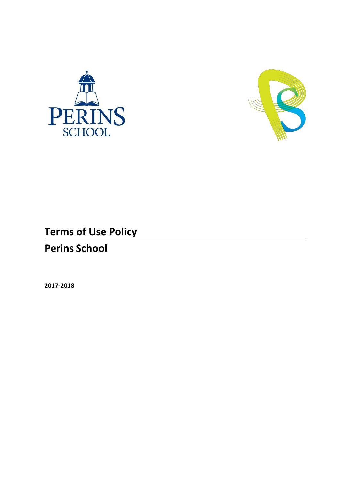



# **Terms of Use Policy Perins School**

**2017-2018**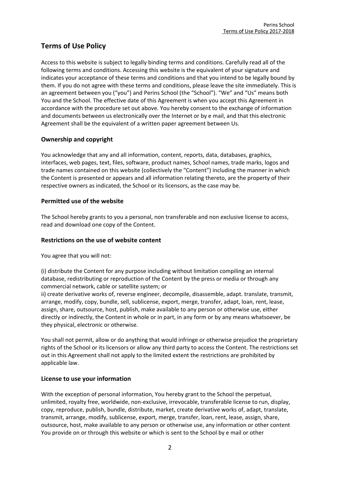## **Terms of Use Policy**

Access to this website is subject to legally binding terms and conditions. Carefully read all of the following terms and conditions. Accessing this website is the equivalent of your signature and indicates your acceptance of these terms and conditions and that you intend to be legally bound by them. If you do not agree with these terms and conditions, please leave the site immediately. This is an agreement between you ("you") and Perins School (the "School"). "We" and "Us" means both You and the School. The effective date of this Agreement is when you accept this Agreement in accordance with the procedure set out above. You hereby consent to the exchange of information and documents between us electronically over the Internet or by e mail, and that this electronic Agreement shall be the equivalent of a written paper agreement between Us.

## **Ownership and copyright**

You acknowledge that any and all information, content, reports, data, databases, graphics, interfaces, web pages, text, files, software, product names, School names, trade marks, logos and trade names contained on this website (collectively the "Content") including the manner in which the Content is presented or appears and all information relating thereto, are the property of their respective owners as indicated, the School or its licensors, as the case may be.

## **Permitted use of the website**

The School hereby grants to you a personal, non transferable and non exclusive license to access, read and download one copy of the Content.

## **Restrictions on the use of website content**

You agree that you will not:

(i) distribute the Content for any purpose including without limitation compiling an internal database, redistributing or reproduction of the Content by the press or media or through any commercial network, cable or satellite system; or

ii) create derivative works of, reverse engineer, decompile, disassemble, adapt. translate, transmit, arrange, modify, copy, bundle, sell, sublicense, export, merge, transfer, adapt, loan, rent, lease, assign, share, outsource, host, publish, make available to any person or otherwise use, either directly or indirectly, the Content in whole or in part, in any form or by any means whatsoever, be they physical, electronic or otherwise.

You shall not permit, allow or do anything that would infringe or otherwise prejudice the proprietary rights of the School or its licensors or allow any third party to access the Content. The restrictions set out in this Agreement shall not apply to the limited extent the restrictions are prohibited by applicable law.

## **License to use your information**

With the exception of personal information, You hereby grant to the School the perpetual, unlimited, royalty free, worldwide, non-exclusive, irrevocable, transferable license to run, display, copy, reproduce, publish, bundle, distribute, market, create derivative works of, adapt, translate, transmit, arrange, modify, sublicense, export, merge, transfer, loan, rent, lease, assign, share, outsource, host, make available to any person or otherwise use, any information or other content You provide on or through this website or which is sent to the School by e mail or other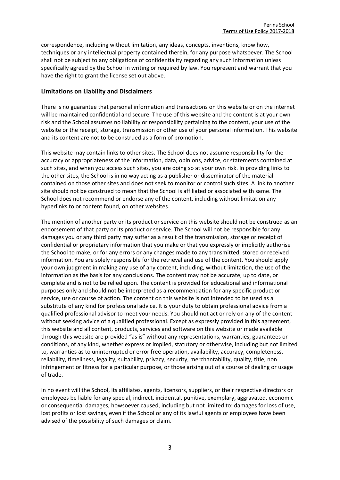correspondence, including without limitation, any ideas, concepts, inventions, know how, techniques or any intellectual property contained therein, for any purpose whatsoever. The School shall not be subject to any obligations of confidentiality regarding any such information unless specifically agreed by the School in writing or required by law. You represent and warrant that you have the right to grant the license set out above.

## **Limitations on Liability and Disclaimers**

There is no guarantee that personal information and transactions on this website or on the internet will be maintained confidential and secure. The use of this website and the content is at your own risk and the School assumes no liability or responsibility pertaining to the content, your use of the website or the receipt, storage, transmission or other use of your personal information. This website and its content are not to be construed as a form of promotion.

This website may contain links to other sites. The School does not assume responsibility for the accuracy or appropriateness of the information, data, opinions, advice, or statements contained at such sites, and when you access such sites, you are doing so at your own risk. In providing links to the other sites, the School is in no way acting as a publisher or disseminator of the material contained on those other sites and does not seek to monitor or control such sites. A link to another site should not be construed to mean that the School is affiliated or associated with same. The School does not recommend or endorse any of the content, including without limitation any hyperlinks to or content found, on other websites.

The mention of another party or its product or service on this website should not be construed as an endorsement of that party or its product or service. The School will not be responsible for any damages you or any third party may suffer as a result of the transmission, storage or receipt of confidential or proprietary information that you make or that you expressly or implicitly authorise the School to make, or for any errors or any changes made to any transmitted, stored or received information. You are solely responsible for the retrieval and use of the content. You should apply your own judgment in making any use of any content, including, without limitation, the use of the information as the basis for any conclusions. The content may not be accurate, up to date, or complete and is not to be relied upon. The content is provided for educational and informational purposes only and should not be interpreted as a recommendation for any specific product or service, use or course of action. The content on this website is not intended to be used as a substitute of any kind for professional advice. It is your duty to obtain professional advice from a qualified professional advisor to meet your needs. You should not act or rely on any of the content without seeking advice of a qualified professional. Except as expressly provided in this agreement, this website and all content, products, services and software on this website or made available through this website are provided "as is" without any representations, warranties, guarantees or conditions, of any kind, whether express or implied, statutory or otherwise, including but not limited to, warranties as to uninterrupted or error free operation, availability, accuracy, completeness, reliability, timeliness, legality, suitability, privacy, security, merchantability, quality, title, non infringement or fitness for a particular purpose, or those arising out of a course of dealing or usage of trade.

In no event will the School, its affiliates, agents, licensors, suppliers, or their respective directors or employees be liable for any special, indirect, incidental, punitive, exemplary, aggravated, economic or consequential damages, howsoever caused, including but not limited to: damages for loss of use, lost profits or lost savings, even if the School or any of its lawful agents or employees have been advised of the possibility of such damages or claim.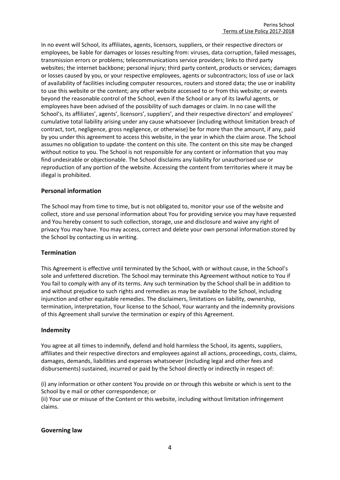In no event will School, its affiliates, agents, licensors, suppliers, or their respective directors or employees, be liable for damages or losses resulting from: viruses, data corruption, failed messages, transmission errors or problems; telecommunications service providers; links to third party websites; the internet backbone; personal injury; third party content, products or services; damages or losses caused by you, or your respective employees, agents or subcontractors; loss of use or lack of availability of facilities including computer resources, routers and stored data; the use or inability to use this website or the content; any other website accessed to or from this website; or events beyond the reasonable control of the School, even if the School or any of its lawful agents, or employees have been advised of the possibility of such damages or claim. In no case will the School's, its affiliates', agents', licensors', suppliers', and their respective directors' and employees' cumulative total liability arising under any cause whatsoever (including without limitation breach of contract, tort, negligence, gross negligence, or otherwise) be for more than the amount, if any, paid by you under this agreement to access this website, in the year in which the claim arose. The School assumes no obligation to update· the content on this site. The content on this site may be changed without notice to you. The School is not responsible for any content or information that you may find undesirable or objectionable. The School disclaims any liability for unauthorised use or reproduction of any portion of the website. Accessing the content from territories where it may be illegal is prohibited.

### **Personal information**

The School may from time to time, but is not obligated to, monitor your use of the website and collect, store and use personal information about You for providing service you may have requested and You hereby consent to such collection, storage, use and disclosure and waive any right of privacy You may have. You may access, correct and delete your own personal information stored by the School by contacting us in writing.

#### **Termination**

This Agreement is effective until terminated by the School, with or without cause, in the School's sole and unfettered discretion. The School may terminate this Agreement without notice to You if You fail to comply with any of its terms. Any such termination by the School shall be in addition to and without prejudice to such rights and remedies as may be available to the School, including injunction and other equitable remedies. The disclaimers, limitations on liability, ownership, termination, interpretation, Your license to the School, Your warranty and the indemnity provisions of this Agreement shall survive the termination or expiry of this Agreement.

#### **Indemnity**

You agree at all times to indemnify, defend and hold harmless the School, its agents, suppliers, affiliates and their respective directors and employees against all actions, proceedings, costs, claims, damages, demands, liabilities and expenses whatsoever (including legal and other fees and disbursements) sustained, incurred or paid by the School directly or indirectly in respect of:

(i) any information or other content You provide on or through this website or which is sent to the School by e mail or other correspondence; or

(ii) Your use or misuse of the Content or this website, including without limitation infringement claims.

#### **Governing law**